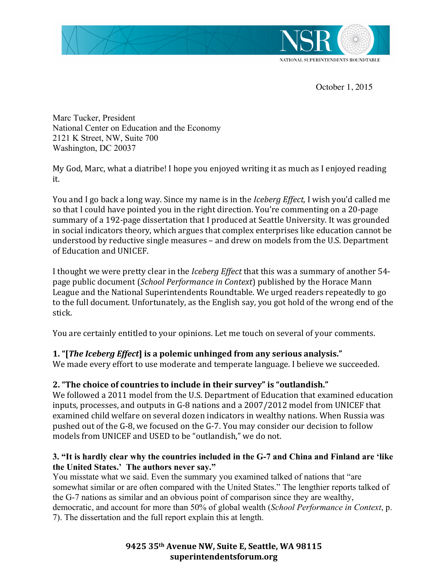

October 1, 2015

Marc Tucker, President National Center on Education and the Economy 2121 K Street, NW, Suite 700 Washington, DC 20037

My God, Marc, what a diatribe! I hope you enjoyed writing it as much as I enjoyed reading it.

You and I go back a long way. Since my name is in the *Iceberg Effect*, I wish you'd called me so that I could have pointed you in the right direction. You're commenting on a 20-page summary of a 192-page dissertation that I produced at Seattle University. It was grounded in social indicators theory, which argues that complex enterprises like education cannot be understood by reductive single measures – and drew on models from the U.S. Department of Education and UNICEF.

I thought we were pretty clear in the *Iceberg Effect* that this was a summary of another 54page public document (*School Performance in Context*) published by the Horace Mann League and the National Superintendents Roundtable. We urged readers repeatedly to go to the full document. Unfortunately, as the English say, you got hold of the wrong end of the stick.

You are certainly entitled to your opinions. Let me touch on several of your comments.

# **1. "[The Iceberg Effect] is a polemic unhinged from any serious analysis."**

We made every effort to use moderate and temperate language. I believe we succeeded.

# **2. "The choice of countries to include in their survey" is "outlandish."**

We followed a 2011 model from the U.S. Department of Education that examined education inputs, processes, and outputs in  $G-8$  nations and a 2007/2012 model from UNICEF that examined child welfare on several dozen indicators in wealthy nations. When Russia was pushed out of the G-8, we focused on the G-7. You may consider our decision to follow models from UNICEF and USED to be "outlandish," we do not.

## **3. "It is hardly clear why the countries included in the G-7 and China and Finland are 'like the United States.' The authors never say."**

You misstate what we said. Even the summary you examined talked of nations that "are somewhat similar or are often compared with the United States." The lengthier reports talked of the G-7 nations as similar and an obvious point of comparison since they are wealthy, democratic, and account for more than 50% of global wealth (*School Performance in Context*, p. 7). The dissertation and the full report explain this at length.

# 9425 35<sup>th</sup> **Avenue NW, Suite E, Seattle, WA 98115 superintendentsforum.org**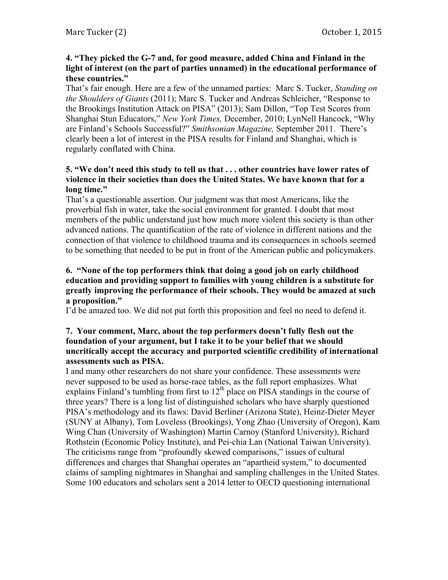### **4. "They picked the G-7 and, for good measure, added China and Finland in the light of interest (on the part of parties unnamed) in the educational performance of these countries."**

That's fair enough. Here are a few of the unnamed parties: Marc S. Tucker, *Standing on the Shoulders of Giants* (2011); Marc S. Tucker and Andreas Schleicher, "Response to the Brookings Institution Attack on PISA" (2013); Sam Dillon, "Top Test Scores from Shanghai Stun Educators," *New York Times,* December, 2010; LynNell Hancock, "Why are Finland's Schools Successful?" *Smithsonian Magazine,* September 2011. There's clearly been a lot of interest in the PISA results for Finland and Shanghai, which is regularly conflated with China.

## **5. "We don't need this study to tell us that . . . other countries have lower rates of violence in their societies than does the United States. We have known that for a long time."**

That's a questionable assertion. Our judgment was that most Americans, like the proverbial fish in water, take the social environment for granted. I doubt that most members of the public understand just how much more violent this society is than other advanced nations. The quantification of the rate of violence in different nations and the connection of that violence to childhood trauma and its consequences in schools seemed to be something that needed to be put in front of the American public and policymakers.

## **6. "None of the top performers think that doing a good job on early childhood education and providing support to families with young children is a substitute for greatly improving the performance of their schools. They would be amazed at such a proposition."**

I'd be amazed too. We did not put forth this proposition and feel no need to defend it.

#### **7. Your comment, Marc, about the top performers doesn't fully flesh out the foundation of your argument, but I take it to be your belief that we should uncritically accept the accuracy and purported scientific credibility of international assessments such as PISA.**

I and many other researchers do not share your confidence. These assessments were never supposed to be used as horse-race tables, as the full report emphasizes. What explains Finland's tumbling from first to  $12<sup>th</sup>$  place on PISA standings in the course of three years? There is a long list of distinguished scholars who have sharply questioned PISA's methodology and its flaws: David Berliner (Arizona State), Heinz-Dieter Meyer (SUNY at Albany), Tom Loveless (Brookings), Yong Zhao (University of Oregon), Kam Wing Chan (University of Washington) Martin Carnoy (Stanford University), Richard Rothstein (Economic Policy Institute), and Pei-chia Lan (National Taiwan University). The criticisms range from "profoundly skewed comparisons," issues of cultural differences and charges that Shanghai operates an "apartheid system," to documented claims of sampling nightmares in Shanghai and sampling challenges in the United States. Some 100 educators and scholars sent a 2014 letter to OECD questioning international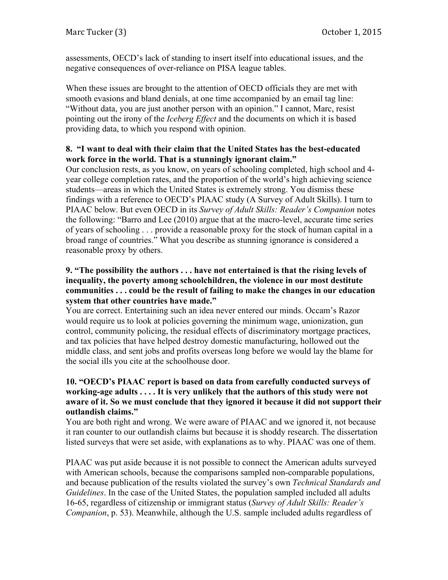assessments, OECD's lack of standing to insert itself into educational issues, and the negative consequences of over-reliance on PISA league tables.

When these issues are brought to the attention of OECD officials they are met with smooth evasions and bland denials, at one time accompanied by an email tag line: "Without data, you are just another person with an opinion." I cannot, Marc, resist pointing out the irony of the *Iceberg Effect* and the documents on which it is based providing data, to which you respond with opinion.

# **8. "I want to deal with their claim that the United States has the best-educated work force in the world. That is a stunningly ignorant claim."**

Our conclusion rests, as you know, on years of schooling completed, high school and 4 year college completion rates, and the proportion of the world's high achieving science students—areas in which the United States is extremely strong. You dismiss these findings with a reference to OECD's PIAAC study (A Survey of Adult Skills). I turn to PIAAC below. But even OECD in its *Survey of Adult Skills: Reader's Companion* notes the following: "Barro and Lee (2010) argue that at the macro-level, accurate time series of years of schooling . . . provide a reasonable proxy for the stock of human capital in a broad range of countries." What you describe as stunning ignorance is considered a reasonable proxy by others.

### **9. "The possibility the authors . . . have not entertained is that the rising levels of inequality, the poverty among schoolchildren, the violence in our most destitute communities . . . could be the result of failing to make the changes in our education system that other countries have made."**

You are correct. Entertaining such an idea never entered our minds. Occam's Razor would require us to look at policies governing the minimum wage, unionization, gun control, community policing, the residual effects of discriminatory mortgage practices, and tax policies that have helped destroy domestic manufacturing, hollowed out the middle class, and sent jobs and profits overseas long before we would lay the blame for the social ills you cite at the schoolhouse door.

## **10. "OECD's PIAAC report is based on data from carefully conducted surveys of working-age adults . . . . It is very unlikely that the authors of this study were not aware of it. So we must conclude that they ignored it because it did not support their outlandish claims."**

You are both right and wrong. We were aware of PIAAC and we ignored it, not because it ran counter to our outlandish claims but because it is shoddy research. The dissertation listed surveys that were set aside, with explanations as to why. PIAAC was one of them.

PIAAC was put aside because it is not possible to connect the American adults surveyed with American schools, because the comparisons sampled non-comparable populations, and because publication of the results violated the survey's own *Technical Standards and Guidelines*. In the case of the United States, the population sampled included all adults 16-65, regardless of citizenship or immigrant status (*Survey of Adult Skills: Reader's Companion*, p. 53). Meanwhile, although the U.S. sample included adults regardless of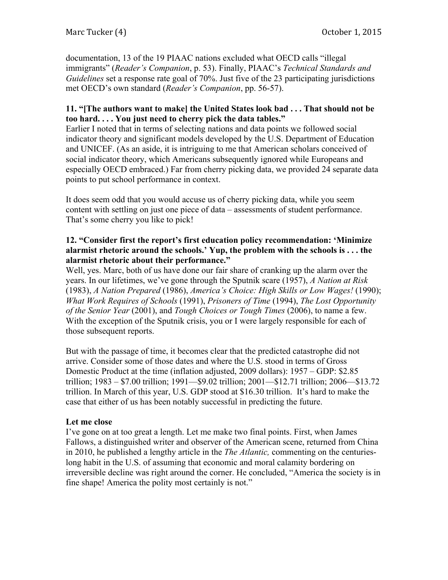documentation, 13 of the 19 PIAAC nations excluded what OECD calls "illegal immigrants" (*Reader's Companion*, p. 53). Finally, PIAAC's *Technical Standards and Guidelines* set a response rate goal of 70%. Just five of the 23 participating jurisdictions met OECD's own standard (*Reader's Companion*, pp. 56-57).

### **11. "[The authors want to make] the United States look bad . . . That should not be too hard. . . . You just need to cherry pick the data tables."**

Earlier I noted that in terms of selecting nations and data points we followed social indicator theory and significant models developed by the U.S. Department of Education and UNICEF. (As an aside, it is intriguing to me that American scholars conceived of social indicator theory, which Americans subsequently ignored while Europeans and especially OECD embraced.) Far from cherry picking data, we provided 24 separate data points to put school performance in context.

It does seem odd that you would accuse us of cherry picking data, while you seem content with settling on just one piece of data – assessments of student performance. That's some cherry you like to pick!

## **12. "Consider first the report's first education policy recommendation: 'Minimize alarmist rhetoric around the schools.' Yup, the problem with the schools is . . . the alarmist rhetoric about their performance."**

Well, yes. Marc, both of us have done our fair share of cranking up the alarm over the years. In our lifetimes, we've gone through the Sputnik scare (1957), *A Nation at Risk* (1983), *A Nation Prepared* (1986), *America's Choice: High Skills or Low Wages!* (1990); *What Work Requires of Schools* (1991), *Prisoners of Time* (1994), *The Lost Opportunity of the Senior Year* (2001), and *Tough Choices or Tough Times* (2006), to name a few. With the exception of the Sputnik crisis, you or I were largely responsible for each of those subsequent reports.

But with the passage of time, it becomes clear that the predicted catastrophe did not arrive. Consider some of those dates and where the U.S. stood in terms of Gross Domestic Product at the time (inflation adjusted, 2009 dollars): 1957 – GDP: \$2.85 trillion; 1983 – \$7.00 trillion; 1991—\$9.02 trillion; 2001—\$12.71 trillion; 2006—\$13.72 trillion. In March of this year, U.S. GDP stood at \$16.30 trillion. It's hard to make the case that either of us has been notably successful in predicting the future.

# **Let me close**

I've gone on at too great a length. Let me make two final points. First, when James Fallows, a distinguished writer and observer of the American scene, returned from China in 2010, he published a lengthy article in the *The Atlantic,* commenting on the centurieslong habit in the U.S. of assuming that economic and moral calamity bordering on irreversible decline was right around the corner. He concluded, "America the society is in fine shape! America the polity most certainly is not."